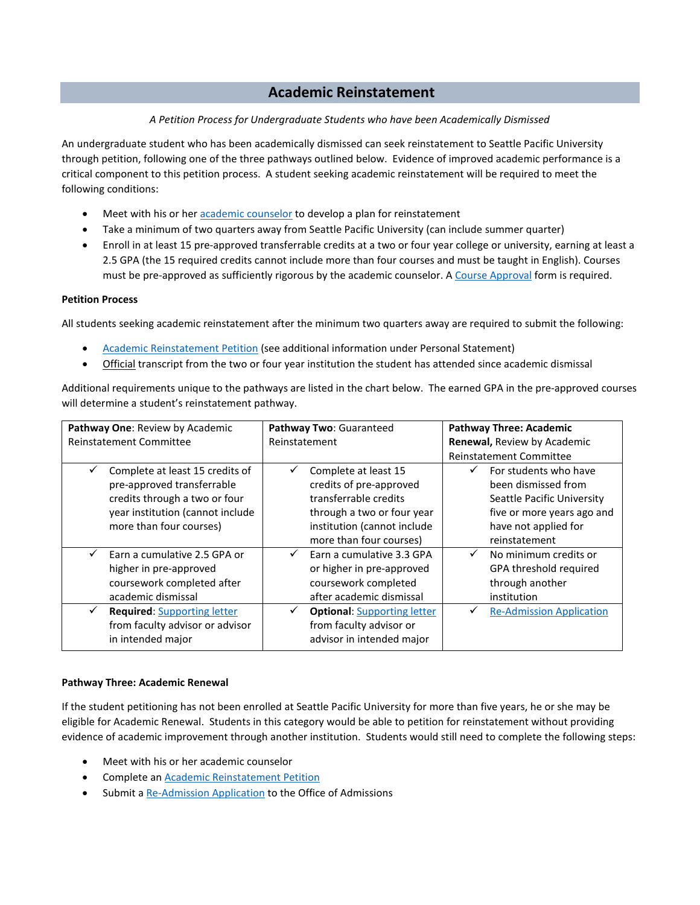# **Academic Reinstatement**

# *A Petition Process for Undergraduate Students who have been Academically Dismissed*

An undergraduate student who has been academically dismissed can seek reinstatement to Seattle Pacific University through petition, following one of the three pathways outlined below. Evidence of improved academic performance is a critical component to this petition process. A student seeking academic reinstatement will be required to meet the following conditions:

- Meet with his or her [academic counselor](http://spu.edu/student-academic-services/sas-staff) to develop a plan for reinstatement
- Take a minimum of two quarters away from Seattle Pacific University (can include summer quarter)
- Enroll in at least 15 pre-approved transferrable credits at a two or four year college or university, earning at least a 2.5 GPA (the 15 required credits cannot include more than four courses and must be taught in English). Courses must be pre-approved as sufficiently rigorous by the academic counselor. A [Course Approval](http://spu.edu/%7E/media/student-academic-services/documents/Academic%20Forms%202018/Course%20Approval%20for%20Academic%20Reinstatement.ashx) form is required.

### **Petition Process**

All students seeking academic reinstatement after the minimum two quarters away are required to submit the following:

- [Academic Reinstatement Petition](https://spu.formstack.com/forms/academic_reinstatement_petition) (see additional information under Personal Statement)
- Official transcript from the two or four year institution the student has attended since academic dismissal

Additional requirements unique to the pathways are listed in the chart below. The earned GPA in the pre-approved courses will determine a student's reinstatement pathway.

| Pathway One: Review by Academic         | Pathway Two: Guaranteed                            | <b>Pathway Three: Academic</b>        |
|-----------------------------------------|----------------------------------------------------|---------------------------------------|
| <b>Reinstatement Committee</b>          | Reinstatement                                      | Renewal, Review by Academic           |
|                                         |                                                    | <b>Reinstatement Committee</b>        |
| Complete at least 15 credits of         | Complete at least 15<br>✓                          | For students who have                 |
| pre-approved transferrable              | credits of pre-approved                            | been dismissed from                   |
| credits through a two or four           | transferrable credits                              | Seattle Pacific University            |
| year institution (cannot include        | through a two or four year                         | five or more years ago and            |
| more than four courses)                 | institution (cannot include                        | have not applied for                  |
|                                         | more than four courses)                            | reinstatement                         |
| Earn a cumulative 2.5 GPA or            | Earn a cumulative 3.3 GPA<br>$\checkmark$          | No minimum credits or<br>$\checkmark$ |
| higher in pre-approved                  | or higher in pre-approved                          | GPA threshold required                |
| coursework completed after              | coursework completed                               | through another                       |
| academic dismissal                      | after academic dismissal                           | institution                           |
| <b>Required:</b> Supporting letter<br>✓ | <b>Optional: Supporting letter</b><br>$\checkmark$ | <b>Re-Admission Application</b>       |
| from faculty advisor or advisor         | from faculty advisor or                            |                                       |
| in intended major                       | advisor in intended major                          |                                       |

### **Pathway Three: Academic Renewal**

If the student petitioning has not been enrolled at Seattle Pacific University for more than five years, he or she may be eligible for Academic Renewal. Students in this category would be able to petition for reinstatement without providing evidence of academic improvement through another institution. Students would still need to complete the following steps:

- Meet with his or her academic counselor
- Complete an [Academic Reinstatement Petition](https://spu.formstack.com/forms/academic_reinstatement_petition)
- Submit a [Re-Admission](http://spu.edu/undergraduate-admissions/apply/reapply#title) Application to the Office of Admissions